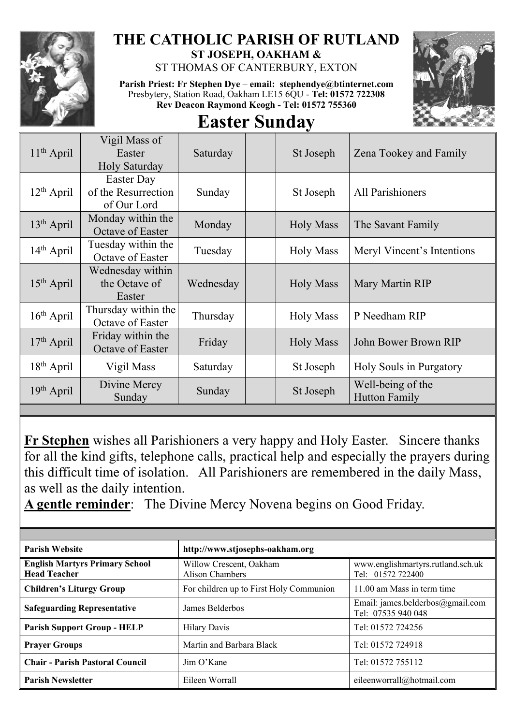

## **THE CATHOLIC PARISH OF RUTLAND ST JOSEPH, OAKHAM &**

ST THOMAS OF CANTERBURY, EXTON

**Parish Priest: Fr Stephen Dye** – **[email: stephendye@btinternet.com](mailto:email:%20%20stephendye@btinternet.com)** Presbytery, Station Road, Oakham LE15 6QU - **Tel: 01572 722308 Rev Deacon Raymond Keogh - Tel: 01572 755360**



## **Easter Sunday**

| $11th$ April           | Vigil Mass of<br>Easter<br>Holy Saturday         | Saturday  | St Joseph        | Zena Tookey and Family                    |
|------------------------|--------------------------------------------------|-----------|------------------|-------------------------------------------|
| $12th$ April           | Easter Day<br>of the Resurrection<br>of Our Lord | Sunday    | St Joseph        | All Parishioners                          |
| 13 <sup>th</sup> April | Monday within the<br>Octave of Easter            | Monday    | <b>Holy Mass</b> | The Savant Family                         |
| 14 <sup>th</sup> April | Tuesday within the<br>Octave of Easter           | Tuesday   | <b>Holy Mass</b> | Meryl Vincent's Intentions                |
| $15th$ April           | Wednesday within<br>the Octave of<br>Easter      | Wednesday | <b>Holy Mass</b> | Mary Martin RIP                           |
| $16th$ April           | Thursday within the<br>Octave of Easter          | Thursday  | <b>Holy Mass</b> | P Needham RIP                             |
| $17th$ April           | Friday within the<br>Octave of Easter            | Friday    | <b>Holy Mass</b> | John Bower Brown RIP                      |
| $18th$ April           | Vigil Mass                                       | Saturday  | St Joseph        | Holy Souls in Purgatory                   |
| $19th$ April           | Divine Mercy<br>Sunday                           | Sunday    | St Joseph        | Well-being of the<br><b>Hutton Family</b> |
|                        |                                                  |           |                  |                                           |

**Fr Stephen** wishes all Parishioners a very happy and Holy Easter. Sincere thanks for all the kind gifts, telephone calls, practical help and especially the prayers during this difficult time of isolation. All Parishioners are remembered in the daily Mass, as well as the daily intention.

**A gentle reminder**: The Divine Mercy Novena begins on Good Friday.

| <b>Parish Website</b>                                        | http://www.stjosephs-oakham.org                   |                                                        |  |  |
|--------------------------------------------------------------|---------------------------------------------------|--------------------------------------------------------|--|--|
| <b>English Martyrs Primary School</b><br><b>Head Teacher</b> | Willow Crescent, Oakham<br><b>Alison Chambers</b> | www.englishmartyrs.rutland.sch.uk<br>Tel: 01572 722400 |  |  |
| <b>Children's Liturgy Group</b>                              | For children up to First Holy Communion           | 11.00 am Mass in term time                             |  |  |
| <b>Safeguarding Representative</b>                           | James Belderbos                                   | Email: james.belderbos@gmail.com<br>Tel: 07535 940 048 |  |  |
| <b>Parish Support Group - HELP</b>                           | <b>Hilary Davis</b>                               | Tel: 01572 724256                                      |  |  |
| <b>Prayer Groups</b>                                         | Martin and Barbara Black                          | Tel: 01572 724918                                      |  |  |
| <b>Chair - Parish Pastoral Council</b>                       | $\lim$ O'Kane                                     | Tel: 01572 755112                                      |  |  |
| <b>Parish Newsletter</b>                                     | Eileen Worrall                                    | eileenworrall@hotmail.com                              |  |  |